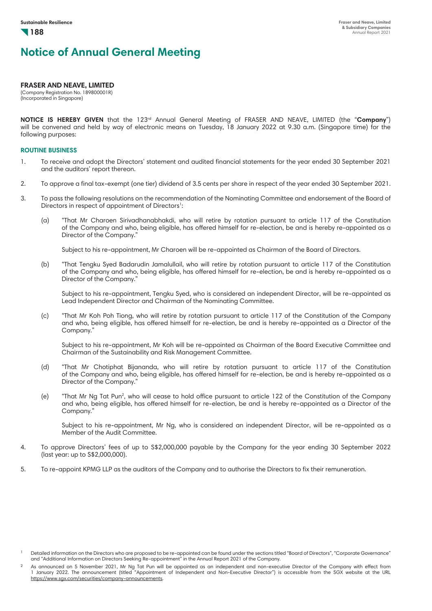#### **FRASER AND NEAVE, LIMITED**

(Company Registration No. 189800001R) (Incorporated in Singapore)

**NOTICE IS HEREBY GIVEN** that the 123rd Annual General Meeting of FRASER AND NEAVE, LIMITED (the "**Company**") will be convened and held by way of electronic means on Tuesday, 18 January 2022 at 9.30 a.m. (Singapore time) for the following purposes:

### **ROUTINE BUSINESS**

- 1. To receive and adopt the Directors' statement and audited financial statements for the year ended 30 September 2021 and the auditors' report thereon.
- 2. To approve a final tax-exempt (one tier) dividend of 3.5 cents per share in respect of the year ended 30 September 2021.
- 3. To pass the following resolutions on the recommendation of the Nominating Committee and endorsement of the Board of Directors in respect of appointment of Directors<sup>1</sup>:
	- (a) "That Mr Charoen Sirivadhanabhakdi, who will retire by rotation pursuant to article 117 of the Constitution of the Company and who, being eligible, has offered himself for re-election, be and is hereby re-appointed as a Director of the Company."

Subject to his re-appointment, Mr Charoen will be re-appointed as Chairman of the Board of Directors.

(b) "That Tengku Syed Badarudin Jamalullail, who will retire by rotation pursuant to article 117 of the Constitution of the Company and who, being eligible, has offered himself for re-election, be and is hereby re-appointed as a Director of the Company."

Subject to his re-appointment, Tengku Syed, who is considered an independent Director, will be re-appointed as Lead Independent Director and Chairman of the Nominating Committee.

(c) "That Mr Koh Poh Tiong, who will retire by rotation pursuant to article 117 of the Constitution of the Company and who, being eligible, has offered himself for re-election, be and is hereby re-appointed as a Director of the Company."

Subject to his re-appointment, Mr Koh will be re-appointed as Chairman of the Board Executive Committee and Chairman of the Sustainability and Risk Management Committee.

- (d) "That Mr Chotiphat Bijananda, who will retire by rotation pursuant to article 117 of the Constitution of the Company and who, being eligible, has offered himself for re-election, be and is hereby re-appointed as a Director of the Company."
- (e) "That Mr Ng Tat Pun2 , who will cease to hold office pursuant to article 122 of the Constitution of the Company and who, being eligible, has offered himself for re-election, be and is hereby re-appointed as a Director of the Company."

Subject to his re-appointment, Mr Ng, who is considered an independent Director, will be re-appointed as a Member of the Audit Committee.

- 4. To approve Directors' fees of up to S\$2,000,000 payable by the Company for the year ending 30 September 2022 (last year: up to S\$2,000,000).
- 5. To re-appoint KPMG LLP as the auditors of the Company and to authorise the Directors to fix their remuneration.

<sup>1</sup> Detailed information on the Directors who are proposed to be re-appointed can be found under the sections titled "Board of Directors", "Corporate Governance" and "Additional Information on Directors Seeking Re-appointment" in the Annual Report 2021 of the Company.

 $2$  As announced on 5 November 2021, Mr Ng Tat Pun will be appointed as an independent and non-executive Director of the Company with effect from 1 January 2022. The announcement (titled "Appointment of Independent and Non-Executive Director") is accessible from the SGX website at the URL https://www.sgx.com/securities/company-announcements.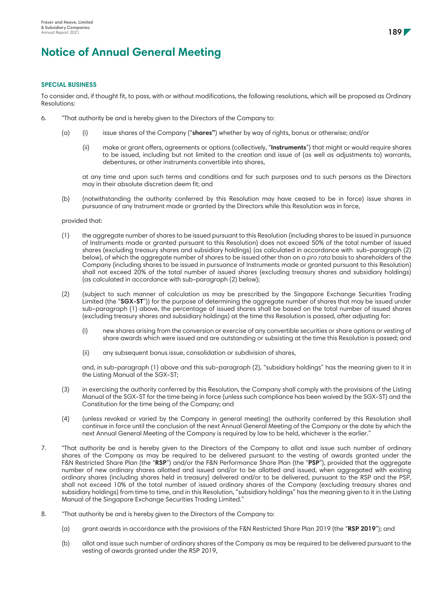#### **SPECIAL BUSINESS**

To consider and, if thought fit, to pass, with or without modifications, the following resolutions, which will be proposed as Ordinary Resolutions:

- 6. "That authority be and is hereby given to the Directors of the Company to:
	- (a) (i) issue shares of the Company ("**shares"**) whether by way of rights, bonus or otherwise; and/or
		- (ii) make or grant offers, agreements or options (collectively, "**Instruments**") that might or would require shares to be issued, including but not limited to the creation and issue of (as well as adjustments to) warrants, debentures, or other instruments convertible into shares,

at any time and upon such terms and conditions and for such purposes and to such persons as the Directors may in their absolute discretion deem fit; and

(b) (notwithstanding the authority conferred by this Resolution may have ceased to be in force) issue shares in pursuance of any Instrument made or granted by the Directors while this Resolution was in force,

provided that:

- (1) the aggregate number of shares to be issued pursuant to this Resolution (including shares to be issued in pursuance of Instruments made or granted pursuant to this Resolution) does not exceed 50% of the total number of issued shares (excluding treasury shares and subsidiary holdings) (as calculated in accordance with sub-paragraph (2) below), of which the aggregate number of shares to be issued other than on a *pro rata* basis to shareholders of the Company (including shares to be issued in pursuance of Instruments made or granted pursuant to this Resolution) shall not exceed 20% of the total number of issued shares (excluding treasury shares and subsidiary holdings) (as calculated in accordance with sub-paragraph (2) below);
- (2) (subject to such manner of calculation as may be prescribed by the Singapore Exchange Securities Trading Limited (the "**SGX-ST**")) for the purpose of determining the aggregate number of shares that may be issued under sub-paragraph (1) above, the percentage of issued shares shall be based on the total number of issued shares (excluding treasury shares and subsidiary holdings) at the time this Resolution is passed, after adjusting for:
	- (i) new shares arising from the conversion or exercise of any convertible securities or share options or vesting of share awards which were issued and are outstanding or subsisting at the time this Resolution is passed; and
	- (ii) any subsequent bonus issue, consolidation or subdivision of shares,

and, in sub-paragraph (1) above and this sub-paragraph (2), "subsidiary holdings" has the meaning given to it in the Listing Manual of the SGX-ST;

- (3) in exercising the authority conferred by this Resolution, the Company shall comply with the provisions of the Listing Manual of the SGX-ST for the time being in force (unless such compliance has been waived by the SGX-ST) and the Constitution for the time being of the Company; and
- (4) (unless revoked or varied by the Company in general meeting) the authority conferred by this Resolution shall continue in force until the conclusion of the next Annual General Meeting of the Company or the date by which the next Annual General Meeting of the Company is required by law to be held, whichever is the earlier."
- 7. "That authority be and is hereby given to the Directors of the Company to allot and issue such number of ordinary shares of the Company as may be required to be delivered pursuant to the vesting of awards granted under the F&N Restricted Share Plan (the "**RSP**") and/or the F&N Performance Share Plan (the "**PSP**"), provided that the aggregate number of new ordinary shares allotted and issued and/or to be allotted and issued, when aggregated with existing ordinary shares (including shares held in treasury) delivered and/or to be delivered, pursuant to the RSP and the PSP, shall not exceed 10% of the total number of issued ordinary shares of the Company (excluding treasury shares and subsidiary holdings) from time to time, and in this Resolution, "subsidiary holdings" has the meaning given to it in the Listing Manual of the Singapore Exchange Securities Trading Limited."
- 8. "That authority be and is hereby given to the Directors of the Company to:
	- (a) grant awards in accordance with the provisions of the F&N Restricted Share Plan 2019 (the "**RSP 2019**"); and
	- (b) allot and issue such number of ordinary shares of the Company as may be required to be delivered pursuant to the vesting of awards granted under the RSP 2019,

**189**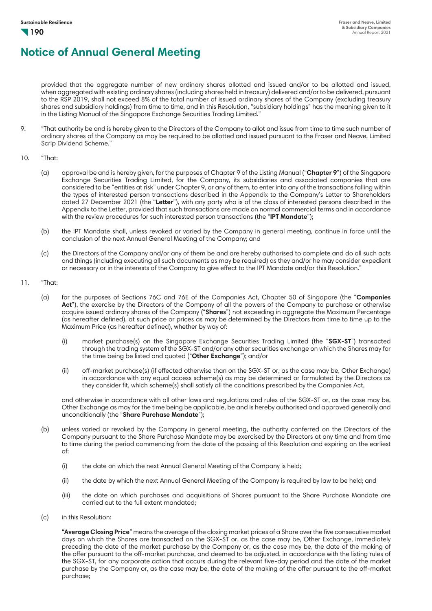provided that the aggregate number of new ordinary shares allotted and issued and/or to be allotted and issued, when aggregated with existing ordinary shares (including shares held in treasury) delivered and/or to be delivered, pursuant to the RSP 2019, shall not exceed 8% of the total number of issued ordinary shares of the Company (excluding treasury shares and subsidiary holdings) from time to time, and in this Resolution, "subsidiary holdings" has the meaning given to it in the Listing Manual of the Singapore Exchange Securities Trading Limited."

- 9. "That authority be and is hereby given to the Directors of the Company to allot and issue from time to time such number of ordinary shares of the Company as may be required to be allotted and issued pursuant to the Fraser and Neave, Limited Scrip Dividend Scheme."
- 10. "That:
	- (a) approval be and is hereby given, for the purposes of Chapter 9 of the Listing Manual ("**Chapter 9**") of the Singapore Exchange Securities Trading Limited, for the Company, its subsidiaries and associated companies that are considered to be "entities at risk" under Chapter 9, or any of them, to enter into any of the transactions falling within the types of interested person transactions described in the Appendix to the Company's Letter to Shareholders dated 27 December 2021 (the "**Letter**"), with any party who is of the class of interested persons described in the Appendix to the Letter, provided that such transactions are made on normal commercial terms and in accordance with the review procedures for such interested person transactions (the "**IPT Mandate**");
	- (b) the IPT Mandate shall, unless revoked or varied by the Company in general meeting, continue in force until the conclusion of the next Annual General Meeting of the Company; and
	- (c) the Directors of the Company and/or any of them be and are hereby authorised to complete and do all such acts and things (including executing all such documents as may be required) as they and/or he may consider expedient or necessary or in the interests of the Company to give effect to the IPT Mandate and/or this Resolution."
- 11. "That:
	- (a) for the purposes of Sections 76C and 76E of the Companies Act, Chapter 50 of Singapore (the "**Companies Act**"), the exercise by the Directors of the Company of all the powers of the Company to purchase or otherwise acquire issued ordinary shares of the Company ("**Shares**") not exceeding in aggregate the Maximum Percentage (as hereafter defined), at such price or prices as may be determined by the Directors from time to time up to the Maximum Price (as hereafter defined), whether by way of:
		- (i) market purchase(s) on the Singapore Exchange Securities Trading Limited (the "**SGX-ST**") transacted through the trading system of the SGX-ST and/or any other securities exchange on which the Shares may for the time being be listed and quoted ("**Other Exchange**"); and/or
		- (ii) off-market purchase(s) (if effected otherwise than on the SGX-ST or, as the case may be, Other Exchange) in accordance with any equal access scheme(s) as may be determined or formulated by the Directors as they consider fit, which scheme(s) shall satisfy all the conditions prescribed by the Companies Act,

and otherwise in accordance with all other laws and regulations and rules of the SGX-ST or, as the case may be, Other Exchange as may for the time being be applicable, be and is hereby authorised and approved generally and unconditionally (the "**Share Purchase Mandate**");

- (b) unless varied or revoked by the Company in general meeting, the authority conferred on the Directors of the Company pursuant to the Share Purchase Mandate may be exercised by the Directors at any time and from time to time during the period commencing from the date of the passing of this Resolution and expiring on the earliest of:
	- (i) the date on which the next Annual General Meeting of the Company is held;
	- (ii) the date by which the next Annual General Meeting of the Company is required by law to be held; and
	- (iii) the date on which purchases and acquisitions of Shares pursuant to the Share Purchase Mandate are carried out to the full extent mandated;
- (c) in this Resolution:

"**Average Closing Price**" means the average of the closing market prices of a Share over the five consecutive market days on which the Shares are transacted on the SGX-ST or, as the case may be, Other Exchange, immediately preceding the date of the market purchase by the Company or, as the case may be, the date of the making of the offer pursuant to the off-market purchase, and deemed to be adjusted, in accordance with the listing rules of the SGX-ST, for any corporate action that occurs during the relevant five-day period and the date of the market purchase by the Company or, as the case may be, the date of the making of the offer pursuant to the off-market purchase;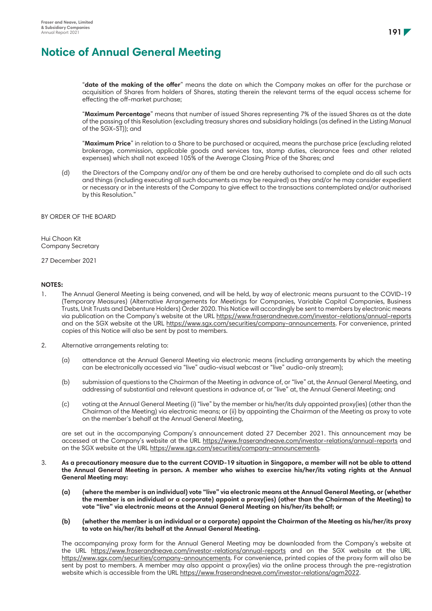"**date of the making of the offer**" means the date on which the Company makes an offer for the purchase or acquisition of Shares from holders of Shares, stating therein the relevant terms of the equal access scheme for effecting the off-market purchase;

"**Maximum Percentage**" means that number of issued Shares representing 7% of the issued Shares as at the date of the passing of this Resolution (excluding treasury shares and subsidiary holdings (as defined in the Listing Manual of the SGX-ST)); and

"**Maximum Price**" in relation to a Share to be purchased or acquired, means the purchase price (excluding related brokerage, commission, applicable goods and services tax, stamp duties, clearance fees and other related expenses) which shall not exceed 105% of the Average Closing Price of the Shares; and

(d) the Directors of the Company and/or any of them be and are hereby authorised to complete and do all such acts and things (including executing all such documents as may be required) as they and/or he may consider expedient or necessary or in the interests of the Company to give effect to the transactions contemplated and/or authorised by this Resolution."

### BY ORDER OF THE BOARD

Hui Choon Kit Company Secretary

27 December 2021

### **NOTES:**

- 1. The Annual General Meeting is being convened, and will be held, by way of electronic means pursuant to the COVID-19 (Temporary Measures) (Alternative Arrangements for Meetings for Companies, Variable Capital Companies, Business Trusts, Unit Trusts and Debenture Holders) Order 2020. This Notice will accordingly be sent to members by electronic means via publication on the Company's website at the URL https://www.fraserandneave.com/investor-relations/annual-reports and on the SGX website at the URL https://www.sgx.com/securities/company-announcements. For convenience, printed copies of this Notice will also be sent by post to members.
- 2. Alternative arrangements relating to:
	- (a) attendance at the Annual General Meeting via electronic means (including arrangements by which the meeting can be electronically accessed via "live" audio-visual webcast or "live" audio-only stream);
	- (b) submission of questions to the Chairman of the Meeting in advance of, or "live" at, the Annual General Meeting, and addressing of substantial and relevant questions in advance of, or "live" at, the Annual General Meeting; and
	- (c) voting at the Annual General Meeting (i) "live" by the member or his/her/its duly appointed proxy(ies) (other than the Chairman of the Meeting) via electronic means; or (ii) by appointing the Chairman of the Meeting as proxy to vote on the member's behalf at the Annual General Meeting,

are set out in the accompanying Company's announcement dated 27 December 2021. This announcement may be accessed at the Company's website at the URL https://www.fraserandneave.com/investor-relations/annual-reports and on the SGX website at the URL https://www.sgx.com/securities/company-announcements.

- 3. **As a precautionary measure due to the current COVID-19 situation in Singapore, a member will not be able to attend the Annual General Meeting in person. A member who wishes to exercise his/her/its voting rights at the Annual General Meeting may:**
	- **(a) (where the member is an individual) vote "live" via electronic means at the Annual General Meeting, or (whether the member is an individual or a corporate) appoint a proxy(ies) (other than the Chairman of the Meeting) to vote "live" via electronic means at the Annual General Meeting on his/her/its behalf; or**
	- **(b) (whether the member is an individual or a corporate) appoint the Chairman of the Meeting as his/her/its proxy to vote on his/her/its behalf at the Annual General Meeting.**

The accompanying proxy form for the Annual General Meeting may be downloaded from the Company's website at the URL https://www.fraserandneave.com/investor-relations/annual-reports and on the SGX website at the URL https://www.sgx.com/securities/company-announcements. For convenience, printed copies of the proxy form will also be sent by post to members. A member may also appoint a proxy(ies) via the online process through the pre-registration website which is accessible from the URL https://www.fraserandneave.com/investor-relations/agm2022.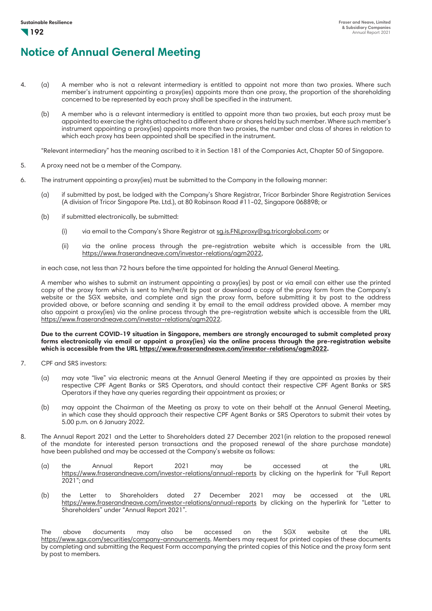- 4. (a) A member who is not a relevant intermediary is entitled to appoint not more than two proxies. Where such member's instrument appointing a proxy(ies) appoints more than one proxy, the proportion of the shareholding concerned to be represented by each proxy shall be specified in the instrument.
	- (b) A member who is a relevant intermediary is entitled to appoint more than two proxies, but each proxy must be appointed to exercise the rights attached to a different share or shares held by such member. Where such member's instrument appointing a proxy(ies) appoints more than two proxies, the number and class of shares in relation to which each proxy has been appointed shall be specified in the instrument.

"Relevant intermediary" has the meaning ascribed to it in Section 181 of the Companies Act, Chapter 50 of Singapore.

- 5. A proxy need not be a member of the Company.
- 6. The instrument appointing a proxy(ies) must be submitted to the Company in the following manner:
	- (a) if submitted by post, be lodged with the Company's Share Registrar, Tricor Barbinder Share Registration Services (A division of Tricor Singapore Pte. Ltd.), at 80 Robinson Road #11-02, Singapore 068898; or
	- (b) if submitted electronically, be submitted:
		- (i) via email to the Company's Share Registrar at sg.is.FNLproxy@sg.tricorglobal.com; or
		- (ii) via the online process through the pre-registration website which is accessible from the URL https://www.fraserandneave.com/investor-relations/agm2022,

in each case, not less than 72 hours before the time appointed for holding the Annual General Meeting.

A member who wishes to submit an instrument appointing a proxy(ies) by post or via email can either use the printed copy of the proxy form which is sent to him/her/it by post or download a copy of the proxy form from the Company's website or the SGX website, and complete and sign the proxy form, before submitting it by post to the address provided above, or before scanning and sending it by email to the email address provided above. A member may also appoint a proxy(ies) via the online process through the pre-registration website which is accessible from the URL https://www.fraserandneave.com/investor-relations/agm2022.

#### **Due to the current COVID-19 situation in Singapore, members are strongly encouraged to submit completed proxy forms electronically via email or appoint a proxy(ies) via the online process through the pre-registration website which is accessible from the URL https://www.fraserandneave.com/investor-relations/agm2022.**

- 7. CPF and SRS investors:
	- (a) may vote "live" via electronic means at the Annual General Meeting if they are appointed as proxies by their respective CPF Agent Banks or SRS Operators, and should contact their respective CPF Agent Banks or SRS Operators if they have any queries regarding their appointment as proxies; or
	- (b) may appoint the Chairman of the Meeting as proxy to vote on their behalf at the Annual General Meeting, in which case they should approach their respective CPF Agent Banks or SRS Operators to submit their votes by 5.00 p.m. on 6 January 2022.
- 8. The Annual Report 2021 and the Letter to Shareholders dated 27 December 2021(in relation to the proposed renewal of the mandate for interested person transactions and the proposed renewal of the share purchase mandate) have been published and may be accessed at the Company's website as follows:
	- (a) the Annual Report 2021 may be accessed at the URL https://www.fraserandneave.com/investor-relations/annual-reports by clicking on the hyperlink for "Full Report 2021"; and
	- (b) the Letter to Shareholders dated 27 December 2021 may be accessed at the URL https://www.fraserandneave.com/investor-relations/annual-reports by clicking on the hyperlink for "Letter to Shareholders" under "Annual Report 2021".

The above documents may also be accessed on the SGX website at the URL https://www.sgx.com/securities/company-announcements. Members may request for printed copies of these documents by completing and submitting the Request Form accompanying the printed copies of this Notice and the proxy form sent by post to members.